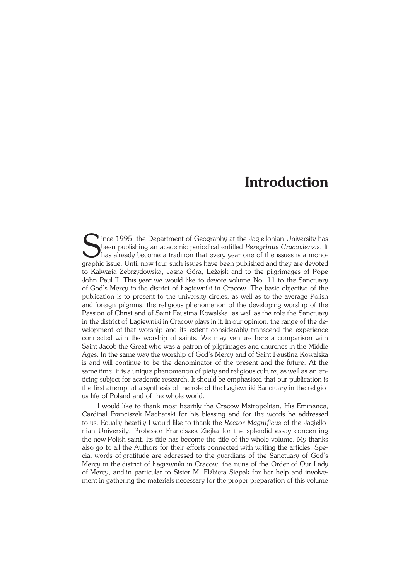## **Introduction**

Since 1995, the Department of Geography at the Jagiellonian University has<br>been publishing an academic periodical entitled Peregrinus Cracoviensis. It<br>has already become a tradition that every year one of the issues is a m ince 1995, the Department of Geography at the Jagiellonian University has been publishing an academic periodical entitled *Peregrinus Cracoviensis*. It has already become a tradition that every year one of the issues is a mono− to Kalwaria Zebrzydowska, Jasna Góra, Leżajsk and to the pilgrimages of Pope John Paul II. This year we would like to devote volume No. 11 to the Sanctuary ofGod's Mercy inthe district of Łagiewniki in Cracow. The basic objective of the publication is to present to the university circles, as well as to the average Polish and foreign pilgrims, the religious phenomenon of the developing worship of the Passion of Christ and of Saint Faustina Kowalska, as well as the role the Sanctuary in the district of Łagiewniki in Cracow plays in it. In our opinion, the range of the de− velopment of that worship and its extent considerably transcend the experience connected with the worship of saints. We may venture here a comparison with Saint Jacob theGreat who was a patron of pilgrimages and churches in the Middle Ages. In the same way the worship of God's Mercy and of Saint Faustina Kowalska is and will continue to be the denominator of the present and the future. At the same time, it is a unique phenomenon of piety and religious culture, as well as an enticing subject for academic research. It should be emphasised that our publication is the first attempt at a synthesis of the role of the Łagiewniki Sanctuary in the religious life of Poland and of the whole world.

I would like to thank most heartily the Cracow Metropolitan, His Eminence, Cardinal Franciszek Macharski for his blessing and for the words he addressed tous. Equally heartily I would like to thank the *Rector Magnificus* of the Jagiello− nian University, Professor Franciszek Ziejka for the splendid essay concerning the new Polish saint. Its title has become the title of the whole volume. My thanks also go to all the Authors for their efforts connected with writing the articles. Spe− cial words of gratitude are addressed to the guardians of the Sanctuary of God's Mercy in the district of Łagiewniki in Cracow, the nuns of the Order of Our Lady ofMercy, andin particular to Sister M. Elżbieta Siepak for her help and involve− ment in gathering the materials necessary for the proper preparation of this volume